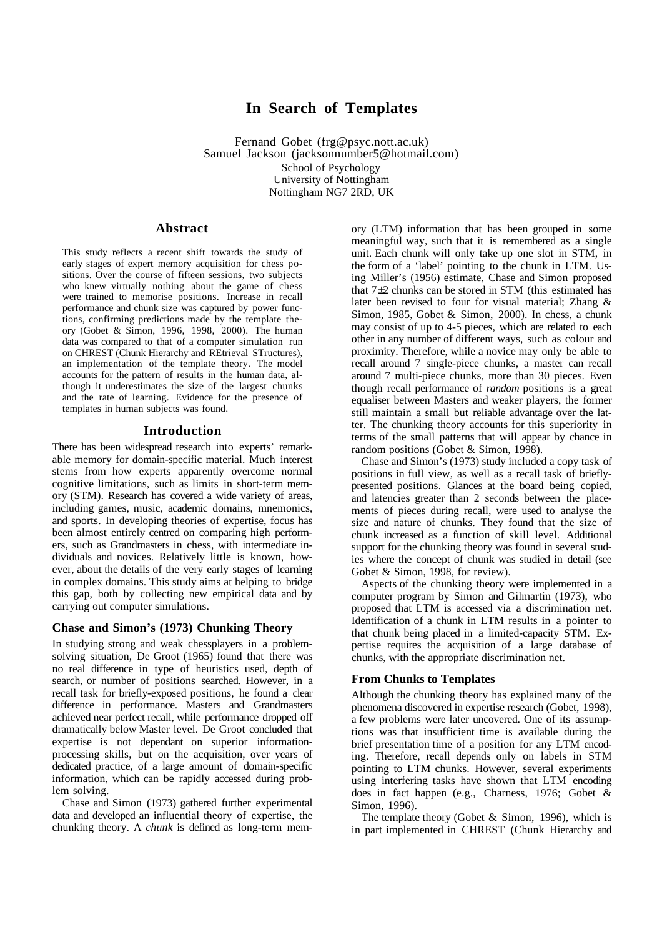# **In Search of Templates**

Fernand Gobet (frg@psyc.nott.ac.uk) Samuel Jackson (jacksonnumber5@hotmail.com) School of Psychology University of Nottingham Nottingham NG7 2RD, UK

## **Abstract**

This study reflects a recent shift towards the study of early stages of expert memory acquisition for chess positions. Over the course of fifteen sessions, two subjects who knew virtually nothing about the game of chess were trained to memorise positions. Increase in recall performance and chunk size was captured by power functions, confirming predictions made by the template theory (Gobet & Simon, 1996, 1998, 2000). The human data was compared to that of a computer simulation run on CHREST (Chunk Hierarchy and REtrieval STructures), an implementation of the template theory. The model accounts for the pattern of results in the human data, although it underestimates the size of the largest chunks and the rate of learning. Evidence for the presence of templates in human subjects was found.

## **Introduction**

There has been widespread research into experts' remarkable memory for domain-specific material. Much interest stems from how experts apparently overcome normal cognitive limitations, such as limits in short-term memory (STM). Research has covered a wide variety of areas, including games, music, academic domains, mnemonics, and sports. In developing theories of expertise, focus has been almost entirely centred on comparing high performers, such as Grandmasters in chess, with intermediate individuals and novices. Relatively little is known, however, about the details of the very early stages of learning in complex domains. This study aims at helping to bridge this gap, both by collecting new empirical data and by carrying out computer simulations.

## **Chase and Simon's (1973) Chunking Theory**

In studying strong and weak chessplayers in a problemsolving situation, De Groot (1965) found that there was no real difference in type of heuristics used, depth of search, or number of positions searched. However, in a recall task for briefly-exposed positions, he found a clear difference in performance. Masters and Grandmasters achieved near perfect recall, while performance dropped off dramatically below Master level. De Groot concluded that expertise is not dependant on superior informationprocessing skills, but on the acquisition, over years of dedicated practice, of a large amount of domain-specific information, which can be rapidly accessed during problem solving.

Chase and Simon (1973) gathered further experimental data and developed an influential theory of expertise, the chunking theory. A *chunk* is defined as long-term memory (LTM) information that has been grouped in some meaningful way, such that it is remembered as a single unit. Each chunk will only take up one slot in STM, in the form of a 'label' pointing to the chunk in LTM. Using Miller's (1956) estimate, Chase and Simon proposed that 7±2 chunks can be stored in STM (this estimated has later been revised to four for visual material; Zhang & Simon, 1985, Gobet & Simon, 2000). In chess, a chunk may consist of up to 4-5 pieces, which are related to each other in any number of different ways, such as colour and proximity. Therefore, while a novice may only be able to recall around 7 single-piece chunks, a master can recall around 7 multi-piece chunks, more than 30 pieces. Even though recall performance of *random* positions is a great equaliser between Masters and weaker players, the former still maintain a small but reliable advantage over the latter. The chunking theory accounts for this superiority in terms of the small patterns that will appear by chance in random positions (Gobet & Simon, 1998).

Chase and Simon's (1973) study included a copy task of positions in full view, as well as a recall task of brieflypresented positions. Glances at the board being copied, and latencies greater than 2 seconds between the placements of pieces during recall, were used to analyse the size and nature of chunks. They found that the size of chunk increased as a function of skill level. Additional support for the chunking theory was found in several studies where the concept of chunk was studied in detail (see Gobet & Simon, 1998, for review).

Aspects of the chunking theory were implemented in a computer program by Simon and Gilmartin (1973), who proposed that LTM is accessed via a discrimination net. Identification of a chunk in LTM results in a pointer to that chunk being placed in a limited-capacity STM. Expertise requires the acquisition of a large database of chunks, with the appropriate discrimination net.

## **From Chunks to Templates**

Although the chunking theory has explained many of the phenomena discovered in expertise research (Gobet, 1998), a few problems were later uncovered. One of its assumptions was that insufficient time is available during the brief presentation time of a position for any LTM encoding. Therefore, recall depends only on labels in STM pointing to LTM chunks. However, several experiments using interfering tasks have shown that LTM encoding does in fact happen (e.g., Charness, 1976; Gobet & Simon, 1996).

The template theory (Gobet  $& Simon, 1996$ ), which is in part implemented in CHREST (Chunk Hierarchy and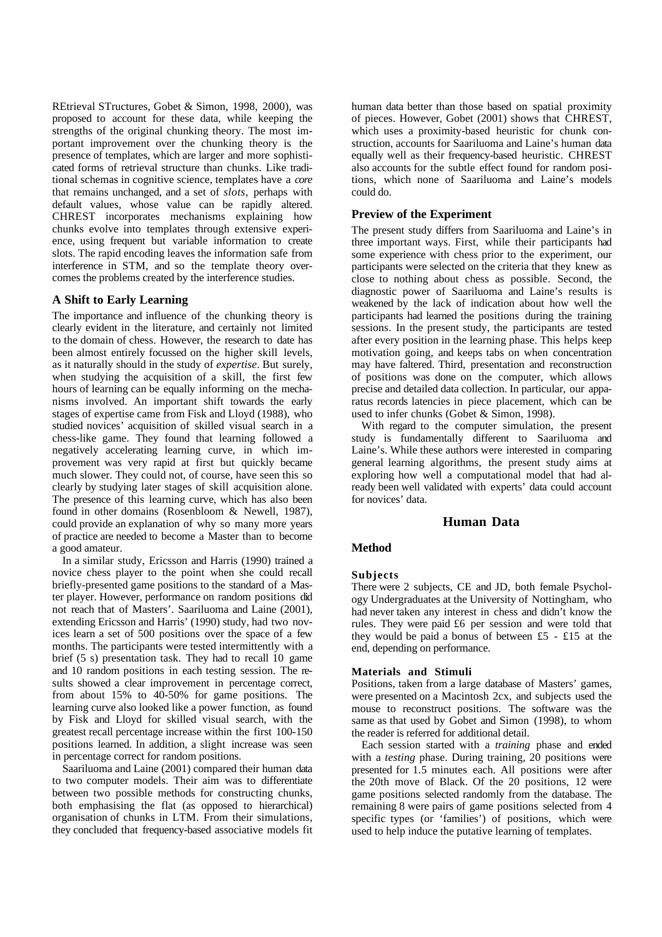REtrieval STructures, Gobet & Simon, 1998, 2000), was proposed to account for these data, while keeping the strengths of the original chunking theory. The most important improvement over the chunking theory is the presence of templates, which are larger and more sophisticated forms of retrieval structure than chunks. Like traditional schemas in cognitive science, templates have a *core* that remains unchanged, and a set of *slots*, perhaps with default values, whose value can be rapidly altered. CHREST incorporates mechanisms explaining how chunks evolve into templates through extensive experience, using frequent but variable information to create slots. The rapid encoding leaves the information safe from interference in STM, and so the template theory overcomes the problems created by the interference studies.

## **A Shift to Early Learning**

The importance and influence of the chunking theory is clearly evident in the literature, and certainly not limited to the domain of chess. However, the research to date has been almost entirely focussed on the higher skill levels, as it naturally should in the study of *expertise*. But surely, when studying the acquisition of a skill, the first few hours of learning can be equally informing on the mechanisms involved. An important shift towards the early stages of expertise came from Fisk and Lloyd (1988), who studied novices' acquisition of skilled visual search in a chess-like game. They found that learning followed a negatively accelerating learning curve, in which improvement was very rapid at first but quickly became much slower. They could not, of course, have seen this so clearly by studying later stages of skill acquisition alone. The presence of this learning curve, which has also been found in other domains (Rosenbloom & Newell, 1987), could provide an explanation of why so many more years of practice are needed to become a Master than to become a good amateur.

In a similar study, Ericsson and Harris (1990) trained a novice chess player to the point when she could recall briefly-presented game positions to the standard of a Master player. However, performance on random positions did not reach that of Masters'. Saariluoma and Laine (2001), extending Ericsson and Harris' (1990) study, had two novices learn a set of 500 positions over the space of a few months. The participants were tested intermittently with a brief (5 s) presentation task. They had to recall 10 game and 10 random positions in each testing session. The results showed a clear improvement in percentage correct, from about 15% to 40-50% for game positions. The learning curve also looked like a power function, as found by Fisk and Lloyd for skilled visual search, with the greatest recall percentage increase within the first 100-150 positions learned. In addition, a slight increase was seen in percentage correct for random positions.

Saariluoma and Laine (2001) compared their human data to two computer models. Their aim was to differentiate between two possible methods for constructing chunks, both emphasising the flat (as opposed to hierarchical) organisation of chunks in LTM. From their simulations, they concluded that frequency-based associative models fit human data better than those based on spatial proximity of pieces. However, Gobet (2001) shows that CHREST, which uses a proximity-based heuristic for chunk construction, accounts for Saariluoma and Laine's human data equally well as their frequency-based heuristic. CHREST also accounts for the subtle effect found for random positions, which none of Saariluoma and Laine's models could do.

## **Preview of the Experiment**

The present study differs from Saariluoma and Laine's in three important ways. First, while their participants had some experience with chess prior to the experiment, our participants were selected on the criteria that they knew as close to nothing about chess as possible. Second, the diagnostic power of Saariluoma and Laine's results is weakened by the lack of indication about how well the participants had learned the positions during the training sessions. In the present study, the participants are tested after every position in the learning phase. This helps keep motivation going, and keeps tabs on when concentration may have faltered. Third, presentation and reconstruction of positions was done on the computer, which allows precise and detailed data collection. In particular, our apparatus records latencies in piece placement, which can be used to infer chunks (Gobet & Simon, 1998).

With regard to the computer simulation, the present study is fundamentally different to Saariluoma and Laine's. While these authors were interested in comparing general learning algorithms, the present study aims at exploring how well a computational model that had already been well validated with experts' data could account for novices' data.

## **Human Data**

## **Method**

## **Subjects**

There were 2 subjects, CE and JD, both female Psychology Undergraduates at the University of Nottingham, who had never taken any interest in chess and didn't know the rules. They were paid £6 per session and were told that they would be paid a bonus of between £5 - £15 at the end, depending on performance.

## **Materials and Stimuli**

Positions, taken from a large database of Masters' games, were presented on a Macintosh 2cx, and subjects used the mouse to reconstruct positions. The software was the same as that used by Gobet and Simon (1998), to whom the reader is referred for additional detail.

Each session started with a *training* phase and ended with a *testing* phase. During training*,* 20 positions were presented for 1.5 minutes each. All positions were after the 20th move of Black. Of the 20 positions, 12 were game positions selected randomly from the database. The remaining 8 were pairs of game positions selected from 4 specific types (or 'families') of positions, which were used to help induce the putative learning of templates.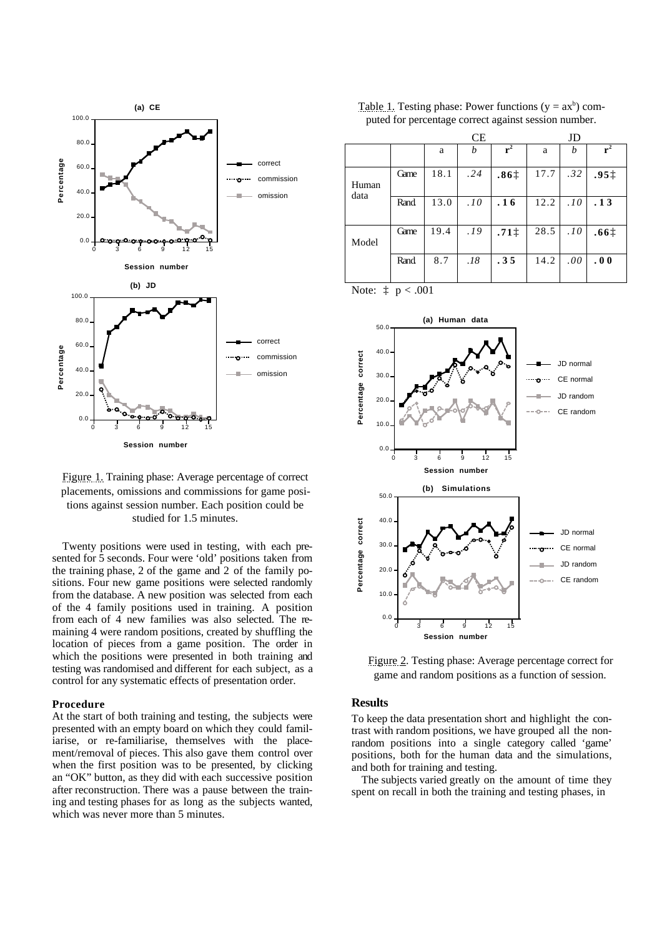

Figure 1. Training phase: Average percentage of correct placements, omissions and commissions for game positions against session number. Each position could be studied for 1.5 minutes.

Twenty positions were used in testing, with each presented for 5 seconds. Four were 'old' positions taken from the training phase, 2 of the game and 2 of the family positions. Four new game positions were selected randomly from the database. A new position was selected from each of the 4 family positions used in training. A position from each of 4 new families was also selected. The remaining 4 were random positions, created by shuffling the location of pieces from a game position. The order in which the positions were presented in both training and testing was randomised and different for each subject, as a control for any systematic effects of presentation order.

## **Procedure**

At the start of both training and testing, the subjects were presented with an empty board on which they could familiarise, or re-familiarise, themselves with the placement/removal of pieces. This also gave them control over when the first position was to be presented, by clicking an "OK" button, as they did with each successive position after reconstruction. There was a pause between the training and testing phases for as long as the subjects wanted, which was never more than 5 minutes.

Table 1. Testing phase: Power functions  $(y = ax^b)$  computed for percentage correct against session number.

|       |      | СE   |     |               | JD   |     |               |
|-------|------|------|-----|---------------|------|-----|---------------|
|       |      | a    | b   | $r^2$         | a    | b   | $r^2$         |
| Human | Game | 18.1 | .24 | .861          | 17.7 | .32 | $.95\ddagger$ |
| data  | Rand | 13.0 | .10 | .16           | 12.2 | .10 | .13           |
| Model | Game | 19.4 | .19 | $.71\ddagger$ | 28.5 | .10 | $.66+$        |
|       | Rand | 8.7  | .18 | .35           | 14.2 | .00 | .00           |

Note: ‡ p < .001



Figure 2. Testing phase: Average percentage correct for game and random positions as a function of session.

## **Results**

To keep the data presentation short and highlight the contrast with random positions, we have grouped all the nonrandom positions into a single category called 'game' positions, both for the human data and the simulations, and both for training and testing.

The subjects varied greatly on the amount of time they spent on recall in both the training and testing phases, in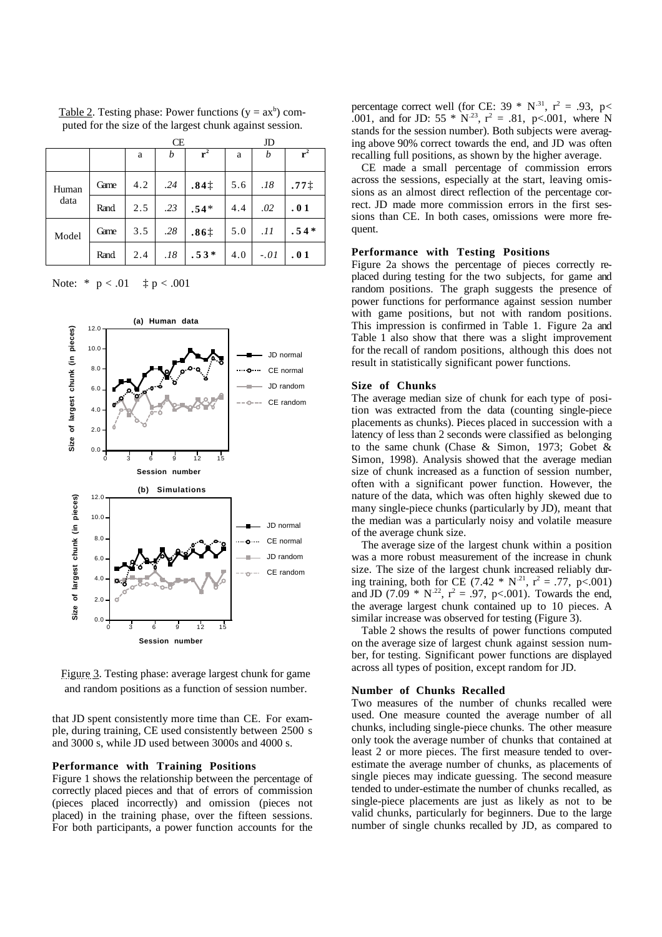|               |      | СE  |     |        | JD  |        |        |
|---------------|------|-----|-----|--------|-----|--------|--------|
|               |      | a   | b   | $r^2$  | a   | b      | $r^2$  |
| Human<br>data | Game | 4.2 | .24 | .841   | 5.6 | .18    | .771   |
|               | Rand | 2.5 | .23 | $.54*$ | 4.4 | .02    | .01    |
| Model         | Game | 3.5 | .28 | .861   | 5.0 | .11    | $.54*$ |
|               | Rand | 2.4 | .18 | $.53*$ | 4.0 | $-.01$ | .01    |

Table 2. Testing phase: Power functions  $(y = ax^b)$  computed for the size of the largest chunk against session.

|  |  | Note: $* p < .01$ | ‡ p < .001 |
|--|--|-------------------|------------|
|--|--|-------------------|------------|



Figure 3. Testing phase: average largest chunk for game and random positions as a function of session number.

that JD spent consistently more time than CE. For example, during training, CE used consistently between 2500 s and 3000 s, while JD used between 3000s and 4000 s.

#### **Performance with Training Positions**

Figure 1 shows the relationship between the percentage of correctly placed pieces and that of errors of commission (pieces placed incorrectly) and omission (pieces not placed) in the training phase, over the fifteen sessions. For both participants, a power function accounts for the

percentage correct well (for CE: 39  $*$  N<sup>-31</sup>,  $r^2 = .93$ , p< .001, and for JD: 55  $*$  N<sup>.23</sup>,  $r^2 = .81$ , p<.001, where N stands for the session number). Both subjects were averaging above 90% correct towards the end, and JD was often recalling full positions, as shown by the higher average.

CE made a small percentage of commission errors across the sessions, especially at the start, leaving omissions as an almost direct reflection of the percentage correct. JD made more commission errors in the first sessions than CE. In both cases, omissions were more frequent.

#### **Performance with Testing Positions**

Figure 2a shows the percentage of pieces correctly replaced during testing for the two subjects, for game and random positions. The graph suggests the presence of power functions for performance against session number with game positions, but not with random positions. This impression is confirmed in Table 1. Figure 2a and Table 1 also show that there was a slight improvement for the recall of random positions, although this does not result in statistically significant power functions.

#### **Size of Chunks**

The average median size of chunk for each type of position was extracted from the data (counting single-piece placements as chunks). Pieces placed in succession with a latency of less than 2 seconds were classified as belonging to the same chunk (Chase & Simon, 1973; Gobet & Simon, 1998). Analysis showed that the average median size of chunk increased as a function of session number, often with a significant power function. However, the nature of the data, which was often highly skewed due to many single-piece chunks (particularly by JD), meant that the median was a particularly noisy and volatile measure of the average chunk size.

The average size of the largest chunk within a position was a more robust measurement of the increase in chunk size. The size of the largest chunk increased reliably during training, both for CE  $(7.42 \times N^{21}, r^2 = .77, p < .001)$ and JD (7.09  $*$  N<sup>.22</sup>,  $r^2 = .97$ , p<.001). Towards the end, the average largest chunk contained up to 10 pieces. A similar increase was observed for testing (Figure 3).

Table 2 shows the results of power functions computed on the average size of largest chunk against session number, for testing. Significant power functions are displayed across all types of position, except random for JD.

#### **Number of Chunks Recalled**

Two measures of the number of chunks recalled were used. One measure counted the average number of all chunks, including single-piece chunks. The other measure only took the average number of chunks that contained at least 2 or more pieces. The first measure tended to overestimate the average number of chunks, as placements of single pieces may indicate guessing. The second measure tended to under-estimate the number of chunks recalled, as single-piece placements are just as likely as not to be valid chunks, particularly for beginners. Due to the large number of single chunks recalled by JD, as compared to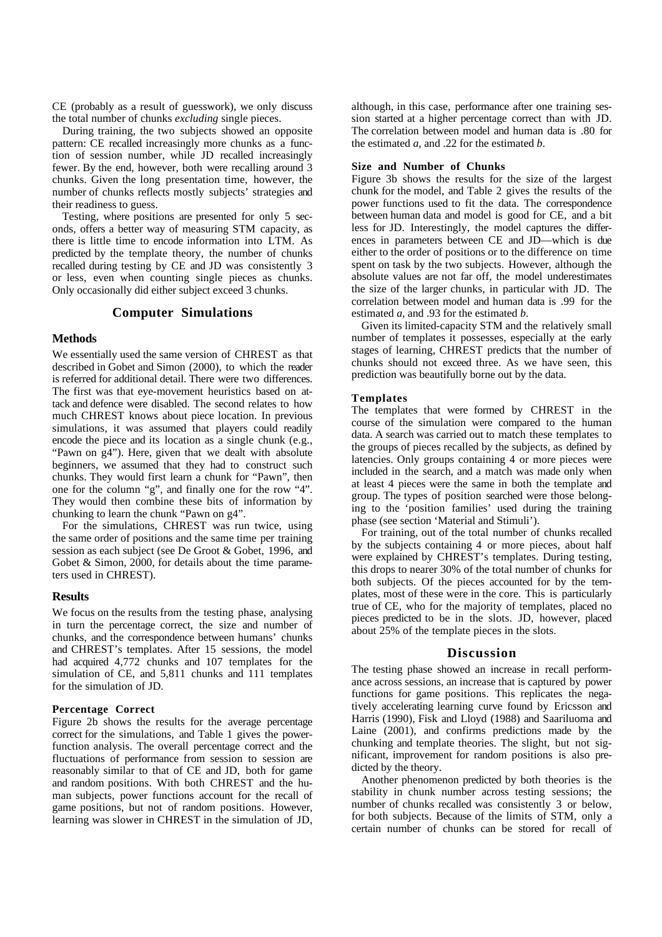CE (probably as a result of guesswork), we only discuss the total number of chunks *excluding* single pieces.

During training, the two subjects showed an opposite pattern: CE recalled increasingly more chunks as a function of session number, while JD recalled increasingly fewer. By the end, however, both were recalling around 3 chunks. Given the long presentation time, however, the number of chunks reflects mostly subjects' strategies and their readiness to guess.

Testing, where positions are presented for only 5 seconds, offers a better way of measuring STM capacity, as there is little time to encode information into LTM. As predicted by the template theory, the number of chunks recalled during testing by CE and JD was consistently 3 or less, even when counting single pieces as chunks. Only occasionally did either subject exceed 3 chunks.

## **Computer Simulations**

## **Methods**

We essentially used the same version of CHREST as that described in Gobet and Simon (2000), to which the reader is referred for additional detail. There were two differences. The first was that eve-movement heuristics based on attack and defence were disabled. The second relates to how much CHREST knows about piece location. In previous simulations, it was assumed that players could readily encode the piece and its location as a single chunk (e.g., "Pawn on g4"). Here, given that we dealt with absolute beginners, we assumed that they had to construct such chunks. They would first learn a chunk for "Pawn", then one for the column "g", and finally one for the row "4". They would then combine these bits of information by chunking to learn the chunk "Pawn on g4".

For the simulations, CHREST was run twice, using the same order of positions and the same time per training session as each subject (see De Groot & Gobet, 1996, and Gobet & Simon, 2000, for details about the time parameters used in CHREST).

## **Results**

We focus on the results from the testing phase, analysing in turn the percentage correct, the size and number of chunks, and the correspondence between humans' chunks and CHREST's templates. After 15 sessions, the model had acquired 4,772 chunks and 107 templates for the simulation of CE, and 5,811 chunks and 111 templates for the simulation of JD.

#### **Percentage Correct**

Figure 2b shows the results for the average percentage correct for the simulations, and Table 1 gives the powerfunction analysis. The overall percentage correct and the fluctuations of performance from session to session are reasonably similar to that of CE and JD, both for game and random positions. With both CHREST and the human subjects, power functions account for the recall of game positions, but not of random positions. However, learning was slower in CHREST in the simulation of JD,

although, in this case, performance after one training session started at a higher percentage correct than with JD. The correlation between model and human data is .80 for the estimated *a*, and .22 for the estimated *b*.

#### **Size and Number of Chunks**

Figure 3b shows the results for the size of the largest chunk for the model, and Table 2 gives the results of the power functions used to fit the data. The correspondence between human data and model is good for CE, and a bit less for JD. Interestingly, the model captures the differences in parameters between CE and JD—which is due either to the order of positions or to the difference on time spent on task by the two subjects. However, although the absolute values are not far off, the model underestimates the size of the larger chunks, in particular with JD. The correlation between model and human data is .99 for the estimated *a*, and .93 for the estimated *b*.

Given its limited-capacity STM and the relatively small number of templates it possesses, especially at the early stages of learning, CHREST predicts that the number of chunks should not exceed three. As we have seen, this prediction was beautifully borne out by the data.

#### **Templates**

The templates that were formed by CHREST in the course of the simulation were compared to the human data. A search was carried out to match these templates to the groups of pieces recalled by the subjects, as defined by latencies. Only groups containing 4 or more pieces were included in the search, and a match was made only when at least 4 pieces were the same in both the template and group. The types of position searched were those belonging to the 'position families' used during the training phase (see section 'Material and Stimuli').

For training, out of the total number of chunks recalled by the subjects containing 4 or more pieces, about half were explained by CHREST's templates. During testing, this drops to nearer 30% of the total number of chunks for both subjects. Of the pieces accounted for by the templates, most of these were in the core. This is particularly true of CE, who for the majority of templates, placed no pieces predicted to be in the slots. JD, however, placed about 25% of the template pieces in the slots.

## **Discussion**

The testing phase showed an increase in recall performance across sessions, an increase that is captured by power functions for game positions. This replicates the negatively accelerating learning curve found by Ericsson and Harris (1990), Fisk and Lloyd (1988) and Saariluoma and Laine (2001), and confirms predictions made by the chunking and template theories. The slight, but not significant, improvement for random positions is also predicted by the theory.

Another phenomenon predicted by both theories is the stability in chunk number across testing sessions; the number of chunks recalled was consistently 3 or below, for both subjects. Because of the limits of STM, only a certain number of chunks can be stored for recall of